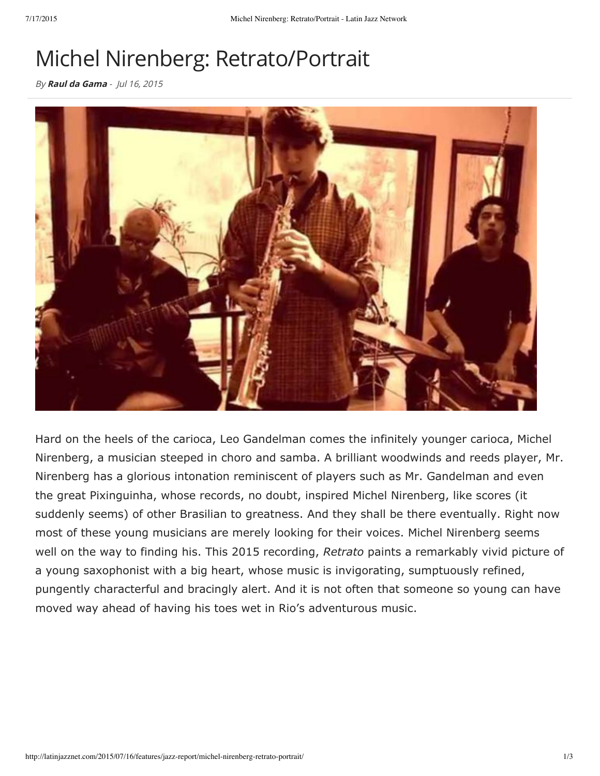## Michel Nirenberg: Retrato/Portrait

By Raul da Gama - Jul 16, 2015



Hard on the heels of the carioca, Leo Gandelman comes the infinitely younger carioca, Michel Nirenberg, a musician steeped in choro and samba. A brilliant woodwinds and reeds player, Mr. Nirenberg has a glorious intonation reminiscent of players such as Mr. Gandelman and even the great Pixinguinha, whose records, no doubt, inspired Michel Nirenberg, like scores (it suddenly seems) of other Brasilian to greatness. And they shall be there eventually. Right now most of these young musicians are merely looking for their voices. Michel Nirenberg seems well on the way to finding his. This 2015 recording, *Retrato* paints a remarkably vivid picture of a young saxophonist with a big heart, whose music is invigorating, sumptuously refined, pungently characterful and bracingly alert. And it is not often that someone so young can have moved way ahead of having his toes wet in Rio's adventurous music.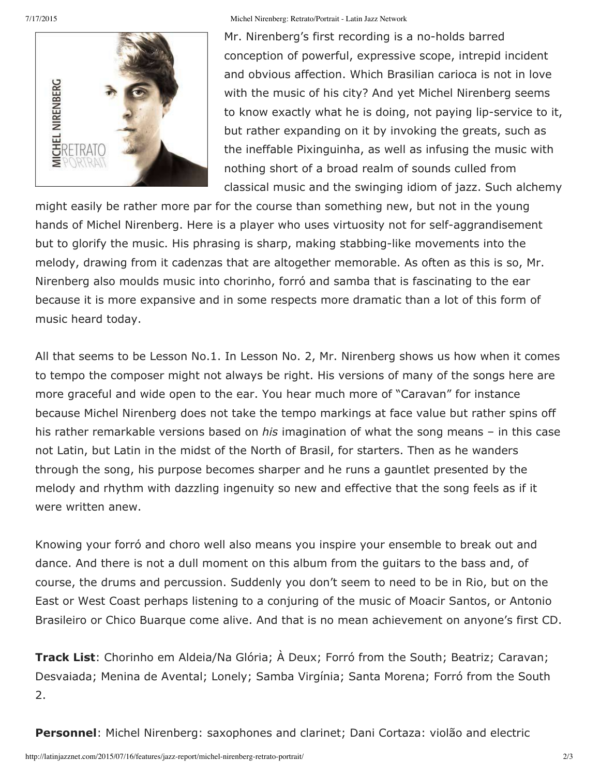

## 7/17/2015 Michel Nirenberg: Retrato/Portrait - Latin Jazz Network

Mr. Nirenberg's first recording is a no-holds barred conception of powerful, expressive scope, intrepid incident and obvious affection. Which Brasilian carioca is not in love with the music of his city? And yet Michel Nirenberg seems to know exactly what he is doing, not paying lip-service to it, but rather expanding on it by invoking the greats, such as the ineffable Pixinguinha, as well as infusing the music with nothing short of a broad realm of sounds culled from classical music and the swinging idiom of jazz. Such alchemy

might easily be rather more par for the course than something new, but not in the young hands of Michel Nirenberg. Here is a player who uses virtuosity not for self-aggrandisement but to glorify the music. His phrasing is sharp, making stabbing-like movements into the melody, drawing from it cadenzas that are altogether memorable. As often as this is so, Mr. Nirenberg also moulds music into chorinho, forró and samba that is fascinating to the ear because it is more expansive and in some respects more dramatic than a lot of this form of music heard today.

All that seems to be Lesson No.1. In Lesson No. 2, Mr. Nirenberg shows us how when it comes to tempo the composer might not always be right. His versions of many of the songs here are more graceful and wide open to the ear. You hear much more of "Caravan" for instance because Michel Nirenberg does not take the tempo markings at face value but rather spins off his rather remarkable versions based on *his* imagination of what the song means – in this case not Latin, but Latin in the midst of the North of Brasil, for starters. Then as he wanders through the song, his purpose becomes sharper and he runs a gauntlet presented by the melody and rhythm with dazzling ingenuity so new and effective that the song feels as if it were written anew.

Knowing your forró and choro well also means you inspire your ensemble to break out and dance. And there is not a dull moment on this album from the guitars to the bass and, of course, the drums and percussion. Suddenly you don't seem to need to be in Rio, but on the East or West Coast perhaps listening to a conjuring of the music of Moacir Santos, or Antonio Brasileiro or Chico Buarque come alive. And that is no mean achievement on anyone's first CD.

**Track List**: Chorinho em Aldeia/Na Glória; À Deux; Forró from the South; Beatriz; Caravan; Desvaiada; Menina de Avental; Lonely; Samba Virgínia; Santa Morena; Forró from the South 2.

**Personnel**: Michel Nirenberg: saxophones and clarinet; Dani Cortaza: violão and electric